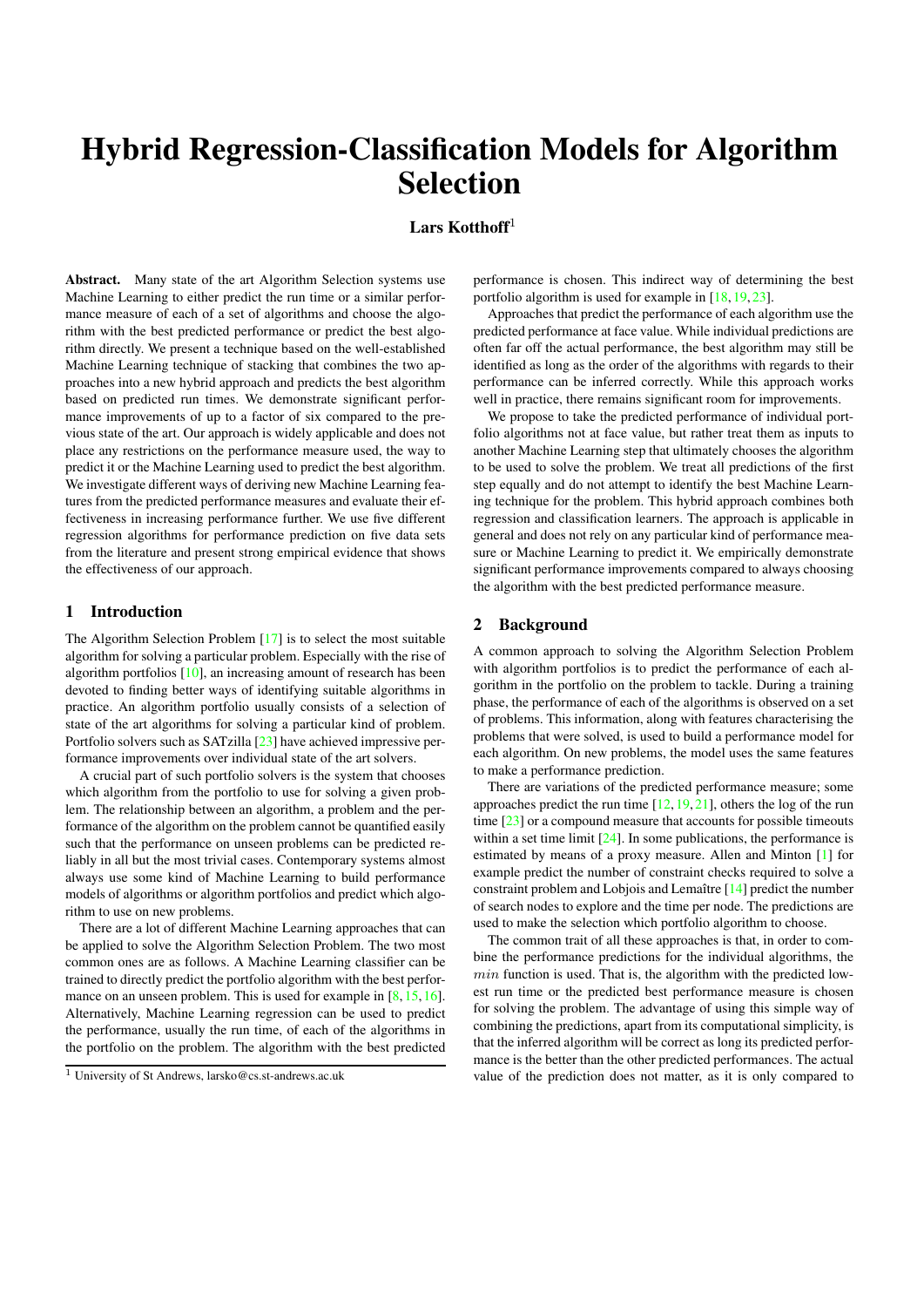# Hybrid Regression-Classification Models for Algorithm Selection

# Lars Kotthoff $1$

Abstract. Many state of the art Algorithm Selection systems use Machine Learning to either predict the run time or a similar performance measure of each of a set of algorithms and choose the algorithm with the best predicted performance or predict the best algorithm directly. We present a technique based on the well-established Machine Learning technique of stacking that combines the two approaches into a new hybrid approach and predicts the best algorithm based on predicted run times. We demonstrate significant performance improvements of up to a factor of six compared to the previous state of the art. Our approach is widely applicable and does not place any restrictions on the performance measure used, the way to predict it or the Machine Learning used to predict the best algorithm. We investigate different ways of deriving new Machine Learning features from the predicted performance measures and evaluate their effectiveness in increasing performance further. We use five different regression algorithms for performance prediction on five data sets from the literature and present strong empirical evidence that shows the effectiveness of our approach.

#### 1 Introduction

The Algorithm Selection Problem [17] is to select the most suitable algorithm for solving a particular problem. Especially with the rise of algorithm portfolios [10], an increasing amount of research has been devoted to finding better ways of identifying suitable algorithms in practice. An algorithm portfolio usually consists of a selection of state of the art algorithms for solvi[ng](#page-5-0) a particular kind of problem. Portfolio solvers such as SATzilla [23] have achieved impressive performance improveme[nts](#page-5-1) over individual state of the art solvers.

A crucial part of such portfolio solvers is the system that chooses which algorithm from the portfolio to use for solving a given problem. The relationship between an [alg](#page-5-2)orithm, a problem and the performance of the algorithm on the problem cannot be quantified easily such that the performance on unseen problems can be predicted reliably in all but the most trivial cases. Contemporary systems almost always use some kind of Machine Learning to build performance models of algorithms or algorithm portfolios and predict which algorithm to use on new problems.

There are a lot of different Machine Learning approaches that can be applied to solve the Algorithm Selection Problem. The two most common ones are as follows. A Machine Learning classifier can be trained to directly predict the portfolio algorithm with the best performance on an unseen problem. This is used for example in [8, 15, 16]. Alternatively, Machine Learning regression can be used to predict the performance, usually the run time, of each of the algorithms in the portfolio on the problem. The algorithm with the best predicted performance is chosen. This indirect way of determining the best portfolio algorithm is used for example in [18, 19, 23].

Approaches that predict the performance of each algorithm use the predicted performance at face value. While individual predictions are often far off the actual performance, the best algorithm may still be identified as long as the order of the algorithms with regards to their performance can be inferred correctly. W[hile](#page-5-3) [th](#page-5-4)[is a](#page-5-2)pproach works well in practice, there remains significant room for improvements.

We propose to take the predicted performance of individual portfolio algorithms not at face value, but rather treat them as inputs to another Machine Learning step that ultimately chooses the algorithm to be used to solve the problem. We treat all predictions of the first step equally and do not attempt to identify the best Machine Learning technique for the problem. This hybrid approach combines both regression and classification learners. The approach is applicable in general and does not rely on any particular kind of performance measure or Machine Learning to predict it. We empirically demonstrate significant performance improvements compared to always choosing the algorithm with the best predicted performance measure.

## 2 Background

A common approach to solving the Algorithm Selection Problem with algorithm portfolios is to predict the performance of each algorithm in the portfolio on the problem to tackle. During a training phase, the performance of each of the algorithms is observed on a set of problems. This information, along with features characterising the problems that were solved, is used to build a performance model for each algorithm. On new problems, the model uses the same features to make a performance prediction.

There are variations of the predicted performance measure; some approaches predict the run time  $[12, 19, 21]$ , others the log of the run time [23] or a compound measure that accounts for possible timeouts within a set time limit  $[24]$ . In some publications, the performance is estimated by means of a proxy measure. Allen and Minton [1] for example predict the number of c[ons](#page-5-5)[trai](#page-5-4)[nt c](#page-5-6)hecks required to solve a const[rain](#page-5-2)t problem and Lobjois and Lemaître [14] predict the number of search nodes to expl[ore](#page-5-7) and the time per node. The predictions are used to make the selection which portfolio algorithm to choose.

The common trait of all these approaches is that, in order t[o c](#page-5-8)ombine the performance predictions for the individual algorithms, the *min* function is used. That is, the algorithm [with](#page-5-9) the predicted lowest run time or the predicted best performance measure is chosen for solving the problem. The advantage of using this simple way of combining the predictions, apart from its computational simplicity, is that the inferred algorithm will be correct as long its predicted performance is the better than the other predicted performances. The actual value of the prediction does not matter, as it is only compared to

<sup>&</sup>lt;sup>1</sup> University of St Andrews, larsko@cs.st-andrews.ac.uk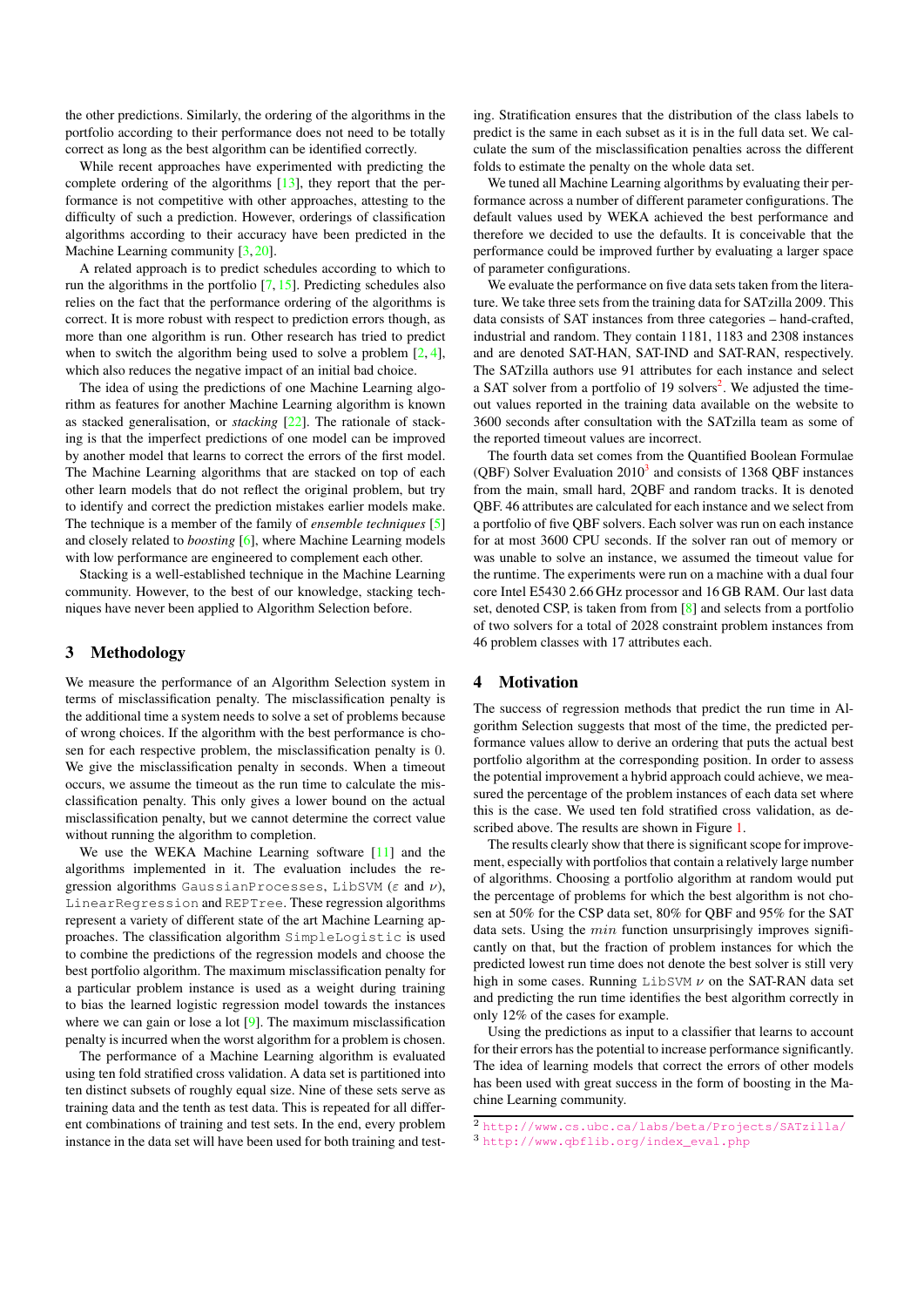the other predictions. Similarly, the ordering of the algorithms in the portfolio according to their performance does not need to be totally correct as long as the best algorithm can be identified correctly.

While recent approaches have experimented with predicting the complete ordering of the algorithms [13], they report that the performance is not competitive with other approaches, attesting to the difficulty of such a prediction. However, orderings of classification algorithms according to their accuracy have been predicted in the Machine Learning community [3, 20].

A related approach is to predict sc[hed](#page-5-10)ules according to which to run the algorithms in the portfolio [7, 15]. Predicting schedules also relies on the fact that the performance ordering of the algorithms is correct. It is more robust with r[es](#page-5-11)[pec](#page-5-12)t to prediction errors though, as more than one algorithm is run. Other research has tried to predict when to switch the algorithm being used to solve a problem  $[2, 4]$ , which also reduces the negative im[pa](#page-5-13)[ct o](#page-5-14)f an initial bad choice.

The idea of using the predictions of one Machine Learning algorithm as features for another Machine Learning algorithm is known as stacked generalisation, or *stacking* [22]. The rationale of stacking is that the imperfect predictions of one model can be imp[ro](#page-5-15)[ve](#page-5-16)d by another model that learns to correct the errors of the first model. The Machine Learning algorithms that are stacked on top of each other learn models that do not reflect the original problem, but try to identify and correct the prediction m[ista](#page-5-17)kes earlier models make. The technique is a member of the family of *ensemble techniques* [5] and closely related to *boosting* [6], where Machine Learning models with low performance are engineered to complement each other.

Stacking is a well-established technique in the Machine Learning community. However, to the best of our knowledge, stacking tec[h](#page-5-18)niques have never been applied [to](#page-5-19) Algorithm Selection before.

## 3 Methodology

We measure the performance of an Algorithm Selection system in terms of misclassification penalty. The misclassification penalty is the additional time a system needs to solve a set of problems because of wrong choices. If the algorithm with the best performance is chosen for each respective problem, the misclassification penalty is 0. We give the misclassification penalty in seconds. When a timeout occurs, we assume the timeout as the run time to calculate the misclassification penalty. This only gives a lower bound on the actual misclassification penalty, but we cannot determine the correct value without running the algorithm to completion.

We use the WEKA Machine Learning software [11] and the algorithms implemented in it. The evaluation includes the regression algorithms GaussianProcesses, LibSVM (*ε* and *ν*), LinearRegression and REPTree. These regression algorithms represent a variety of different state of the art Machine Learning approaches. The classification algorithm SimpleLogi[sti](#page-5-20)c is used to combine the predictions of the regression models and choose the best portfolio algorithm. The maximum misclassification penalty for a particular problem instance is used as a weight during training to bias the learned logistic regression model towards the instances where we can gain or lose a lot [9]. The maximum misclassification penalty is incurred when the worst algorithm for a problem is chosen.

The performance of a Machine Learning algorithm is evaluated using ten fold stratified cross validation. A data set is partitioned into ten distinct subsets of roughly e[qu](#page-5-21)al size. Nine of these sets serve as training data and the tenth as test data. This is repeated for all different combinations of training and test sets. In the end, every problem instance in the data set will have been used for both training and testing. Stratification ensures that the distribution of the class labels to predict is the same in each subset as it is in the full data set. We calculate the sum of the misclassification penalties across the different folds to estimate the penalty on the whole data set.

We tuned all Machine Learning algorithms by evaluating their performance across a number of different parameter configurations. The default values used by WEKA achieved the best performance and therefore we decided to use the defaults. It is conceivable that the performance could be improved further by evaluating a larger space of parameter configurations.

We evaluate the performance on five data sets taken from the literature. We take three sets from the training data for SATzilla 2009. This data consists of SAT instances from three categories – hand-crafted, industrial and random. They contain 1181, 1183 and 2308 instances and are denoted SAT-HAN, SAT-IND and SAT-RAN, respectively. The SATzilla authors use 91 attributes for each instance and select a SAT solver from a portfolio of 19 solvers<sup>2</sup>. We adjusted the timeout values reported in the training data available on the website to 3600 seconds after consultation with the SATzilla team as some of the reported timeout values are incorrect.

The fourth data set comes from the Qua[nt](#page-1-0)ified Boolean Formulae (QBF) Solver Evaluation  $2010<sup>3</sup>$  and consists of 1368 QBF instances from the main, small hard, 2QBF and random tracks. It is denoted QBF. 46 attributes are calculated for each instance and we select from a portfolio of five QBF solvers. Each solver was run on each instance for at most 3600 CPU second[s.](#page-1-1) If the solver ran out of memory or was unable to solve an instance, we assumed the timeout value for the runtime. The experiments were run on a machine with a dual four core Intel E5430 2.66 GHz processor and 16 GB RAM. Our last data set, denoted CSP, is taken from from [8] and selects from a portfolio of two solvers for a total of 2028 constraint problem instances from 46 problem classes with 17 attributes each.

## 4 Motivation

The success of regression methods that predict the run time in Algorithm Selection suggests that most of the time, the predicted performance values allow to derive an ordering that puts the actual best portfolio algorithm at the corresponding position. In order to assess the potential improvement a hybrid approach could achieve, we measured the percentage of the problem instances of each data set where this is the case. We used ten fold stratified cross validation, as described above. The results are shown in Figure 1.

The results clearly show that there is significant scope for improvement, especially with portfolios that contain a relatively large number of algorithms. Choosing a portfolio algorithm at random would put the percentage of problems for which the best [al](#page-2-0)gorithm is not chosen at 50% for the CSP data set, 80% for QBF and 95% for the SAT data sets. Using the *min* function unsurprisingly improves significantly on that, but the fraction of problem instances for which the predicted lowest run time does not denote the best solver is still very high in some cases. Running LibSVM *ν* on the SAT-RAN data set and predicting the run time identifies the best algorithm correctly in only 12% of the cases for example.

Using the predictions as input to a classifier that learns to account for their errors has the potential to increase performance significantly. The idea of learning models that correct the errors of other models has been used with great success in the form of boosting in the Machine Learning community.

<span id="page-1-1"></span><span id="page-1-0"></span><sup>2</sup> http://www.cs.ubc.ca/labs/beta/Projects/SATzilla/ <sup>3</sup> http://www.qbflib.org/index\_eval.php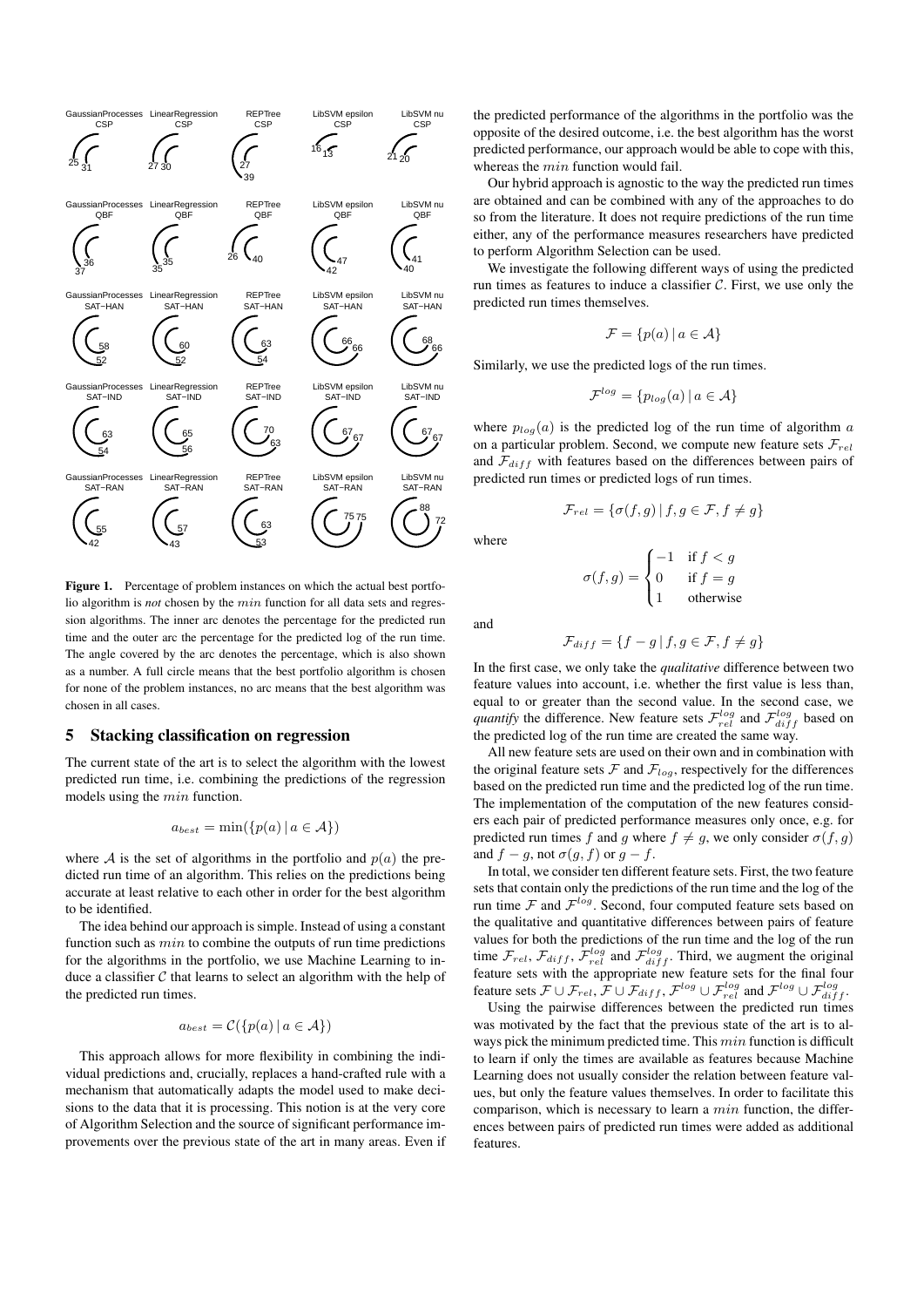

<span id="page-2-0"></span>Figure 1. Percentage of problem instances on which the actual best portfolio algorithm is *not* chosen by the *min* function for all data sets and regression algorithms. The inner arc denotes the percentage for the predicted run time and the outer arc the percentage for the predicted log of the run time. The angle covered by the arc denotes the percentage, which is also shown as a number. A full circle means that the best portfolio algorithm is chosen for none of the problem instances, no arc means that the best algorithm was chosen in all cases.

#### 5 Stacking classification on regression

The current state of the art is to select the algorithm with the lowest predicted run time, i.e. combining the predictions of the regression models using the *min* function.

$$
a_{best} = \min(\{p(a) \mid a \in \mathcal{A}\})
$$

where *A* is the set of algorithms in the portfolio and  $p(a)$  the predicted run time of an algorithm. This relies on the predictions being accurate at least relative to each other in order for the best algorithm to be identified.

The idea behind our approach is simple. Instead of using a constant function such as *min* to combine the outputs of run time predictions for the algorithms in the portfolio, we use Machine Learning to induce a classifier *C* that learns to select an algorithm with the help of the predicted run times.

$$
a_{best} = \mathcal{C}(\{p(a) \mid a \in \mathcal{A}\})
$$

This approach allows for more flexibility in combining the individual predictions and, crucially, replaces a hand-crafted rule with a mechanism that automatically adapts the model used to make decisions to the data that it is processing. This notion is at the very core of Algorithm Selection and the source of significant performance improvements over the previous state of the art in many areas. Even if the predicted performance of the algorithms in the portfolio was the opposite of the desired outcome, i.e. the best algorithm has the worst predicted performance, our approach would be able to cope with this, whereas the *min* function would fail.

Our hybrid approach is agnostic to the way the predicted run times are obtained and can be combined with any of the approaches to do so from the literature. It does not require predictions of the run time either, any of the performance measures researchers have predicted to perform Algorithm Selection can be used.

We investigate the following different ways of using the predicted run times as features to induce a classifier *C*. First, we use only the predicted run times themselves.

$$
\mathcal{F} = \{p(a) \, | \, a \in \mathcal{A}\}
$$

Similarly, we use the predicted logs of the run times.

$$
\mathcal{F}^{log} = \{ p_{log}(a) \, | \, a \in \mathcal{A} \}
$$

where  $p_{log}(a)$  is the predicted log of the run time of algorithm  $a$ on a particular problem. Second, we compute new feature sets *Frel* and  $\mathcal{F}_{diff}$  with features based on the differences between pairs of predicted run times or predicted logs of run times.

$$
\mathcal{F}_{rel} = \{ \sigma(f,g) \, | \, f,g \in \mathcal{F}, f \neq g \}
$$

where

$$
\sigma(f,g) = \begin{cases}\n-1 & \text{if } f < g \\
0 & \text{if } f = g \\
1 & \text{otherwise}\n\end{cases}
$$

and

$$
\mathcal{F}_{diff} = \{ f - g \mid f, g \in \mathcal{F}, f \neq g \}
$$

In the first case, we only take the *qualitative* difference between two feature values into account, i.e. whether the first value is less than, equal to or greater than the second value. In the second case, we *quantify* the difference. New feature sets  $\mathcal{F}^{log}_{rel}$  and  $\mathcal{F}^{log}_{diff}$  based on the predicted log of the run time are created the same way.

All new feature sets are used on their own and in combination with the original feature sets  $\mathcal F$  and  $\mathcal F_{log}$ , respectively for the differences based on the predicted run time and the predicted log of the run time. The implementation of the computation of the new features considers each pair of predicted performance measures only once, e.g. for predicted run times *f* and *g* where  $f \neq g$ , we only consider  $\sigma(f, g)$ and  $f - g$ , not  $\sigma(g, f)$  or  $g - f$ .

In total, we consider ten different feature sets. First, the two feature sets that contain only the predictions of the run time and the log of the run time  $F$  and  $F^{log}$ . Second, four computed feature sets based on the qualitative and quantitative differences between pairs of feature values for both the predictions of the run time and the log of the run time  $\mathcal{F}_{rel}$ ,  $\mathcal{F}_{diff}$ ,  $\mathcal{F}_{rel}^{log}$  and  $\mathcal{F}_{diff}^{log}$ . Third, we augment the original feature sets with the appropriate new feature sets for the final four feature sets  $\mathcal{F} \cup \mathcal{F}_{rel}$ ,  $\mathcal{F} \cup \mathcal{F}_{diff}$ ,  $\mathcal{F}^{log} \cup \mathcal{F}^{log}_{rel}$  and  $\mathcal{F}^{log} \cup \mathcal{F}^{log}_{diff}$ .

Using the pairwise differences between the predicted run times was motivated by the fact that the previous state of the art is to always pick the minimum predicted time. This *min* function is difficult to learn if only the times are available as features because Machine Learning does not usually consider the relation between feature values, but only the feature values themselves. In order to facilitate this comparison, which is necessary to learn a *min* function, the differences between pairs of predicted run times were added as additional features.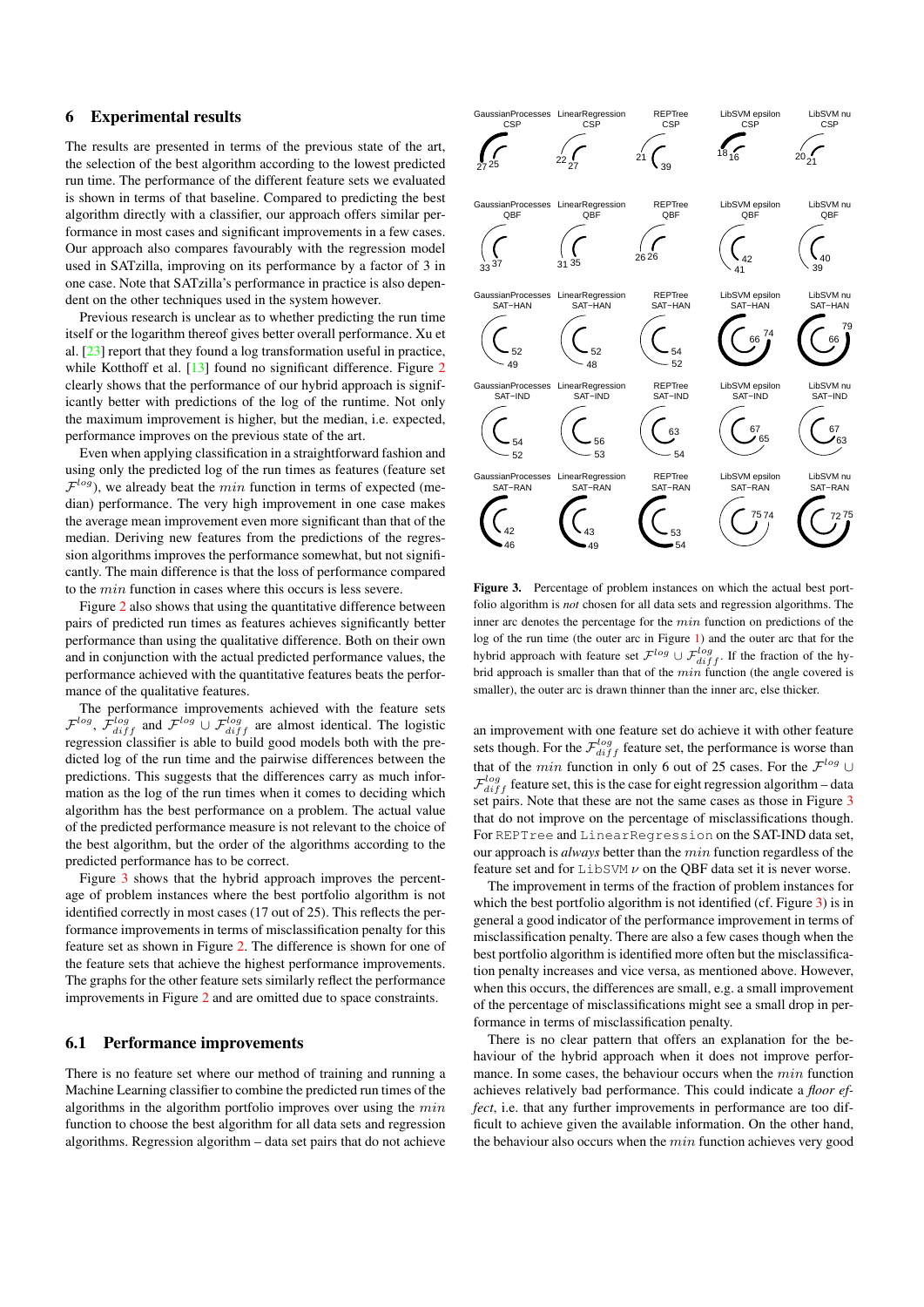## 6 Experimental results

The results are presented in terms of the previous state of the art, the selection of the best algorithm according to the lowest predicted run time. The performance of the different feature sets we evaluated is shown in terms of that baseline. Compared to predicting the best algorithm directly with a classifier, our approach offers similar performance in most cases and significant improvements in a few cases. Our approach also compares favourably with the regression model used in SATzilla, improving on its performance by a factor of 3 in one case. Note that SATzilla's performance in practice is also dependent on the other techniques used in the system however.

Previous research is unclear as to whether predicting the run time itself or the logarithm thereof gives better overall performance. Xu et al. [23] report that they found a log transformation useful in practice, while Kotthoff et al. [13] found no significant difference. Figure 2 clearly shows that the performance of our hybrid approach is significantly better with predictions of the log of the runtime. Not only the [ma](#page-5-2)ximum improvement is higher, but the median, i.e. expected, performance improves [on](#page-5-10) the previous state of the art.

Even when applying classification in a straightforward fashion an[d](#page-4-0) using only the predicted log of the run times as features (feature set  $\mathcal{F}^{log}$ ), we already beat the *min* function in terms of expected (median) performance. The very high improvement in one case makes the average mean improvement even more significant than that of the median. Deriving new features from the predictions of the regression algorithms improves the performance somewhat, but not significantly. The main difference is that the loss of performance compared to the *min* function in cases where this occurs is less severe.

Figure 2 also shows that using the quantitative difference between pairs of predicted run times as features achieves significantly better performance than using the qualitative difference. Both on their own and in conjunction with the actual predicted performance values, the performa[nc](#page-4-0)e achieved with the quantitative features beats the performance of the qualitative features.

The performance improvements achieved with the feature sets  $\mathcal{F}^{log}$ ,  $\mathcal{F}^{log}_{diff}$  and  $\mathcal{F}^{log}$  *v*  $\mathcal{F}^{log}_{diff}$  are almost identical. The logistic regression classifier is able to build good models both with the predicted log of the run time and the pairwise differences between the predictions. This suggests that the differences carry as much information as the log of the run times when it comes to deciding which algorithm has the best performance on a problem. The actual value of the predicted performance measure is not relevant to the choice of the best algorithm, but the order of the algorithms according to the predicted performance has to be correct.

Figure 3 shows that the hybrid approach improves the percentage of problem instances where the best portfolio algorithm is not identified correctly in most cases (17 out of 25). This reflects the performance improvements in terms of misclassification penalty for this feature set as shown in Figure 2. The difference is shown for one of the featur[e s](#page-3-0)ets that achieve the highest performance improvements. The graphs for the other feature sets similarly reflect the performance improvements in Figure 2 and are omitted due to space constraints.

## 6.1 Performance improvements

There is no feature set [wh](#page-4-0)ere our method of training and running a Machine Learning classifier to combine the predicted run times of the algorithms in the algorithm portfolio improves over using the *min* function to choose the best algorithm for all data sets and regression algorithms. Regression algorithm – data set pairs that do not achieve



Figure 3. Percentage of problem instances on which the actual best portfolio algorithm is *not* chosen for all data sets and regression algorithms. The inner arc denotes the percentage for the *min* function on predictions of the log of the run time (the outer arc in Figure 1) and the outer arc that for the hybrid approach with feature set  $\mathcal{F}^{log} \cup \mathcal{F}^{log}_{diff}$ . If the fraction of the hybrid approach is smaller than that of the *min* function (the angle covered is smaller), the outer arc is drawn thinner than the inner arc, else thicker.

<span id="page-3-0"></span>an improvement with one feature set do achieve it with other feature sets though. For the  $\mathcal{F}_{diff}^{log}$  feature set, the performance is worse than that of the *min* function in only 6 out of 25 cases. For the  $\mathcal{F}^{log} \cup$  $\mathcal{F}^{log}_{diff}$  feature set, this is the case for eight regression algorithm – data set pairs. Note that these are not the same cases as those in Figure 3 that do not improve on the percentage of misclassifications though. For REPTree and LinearRegression on the SAT-IND data set, our approach is *always* better than the *min* function regardless of the feature set and for LibSVM  $\nu$  on the QBF data set it is never worse.

The improvement in terms of the fraction of problem instances f[or](#page-3-0) which the best portfolio algorithm is not identified (cf. Figure 3) is in general a good indicator of the performance improvement in terms of misclassification penalty. There are also a few cases though when the best portfolio algorithm is identified more often but the misclassification penalty increases and vice versa, as mentioned above. However, when this occurs, the differences are small, e.g. a small impro[ve](#page-3-0)ment of the percentage of misclassifications might see a small drop in performance in terms of misclassification penalty.

There is no clear pattern that offers an explanation for the behaviour of the hybrid approach when it does not improve performance. In some cases, the behaviour occurs when the *min* function achieves relatively bad performance. This could indicate a *floor effect*, i.e. that any further improvements in performance are too difficult to achieve given the available information. On the other hand, the behaviour also occurs when the *min* function achieves very good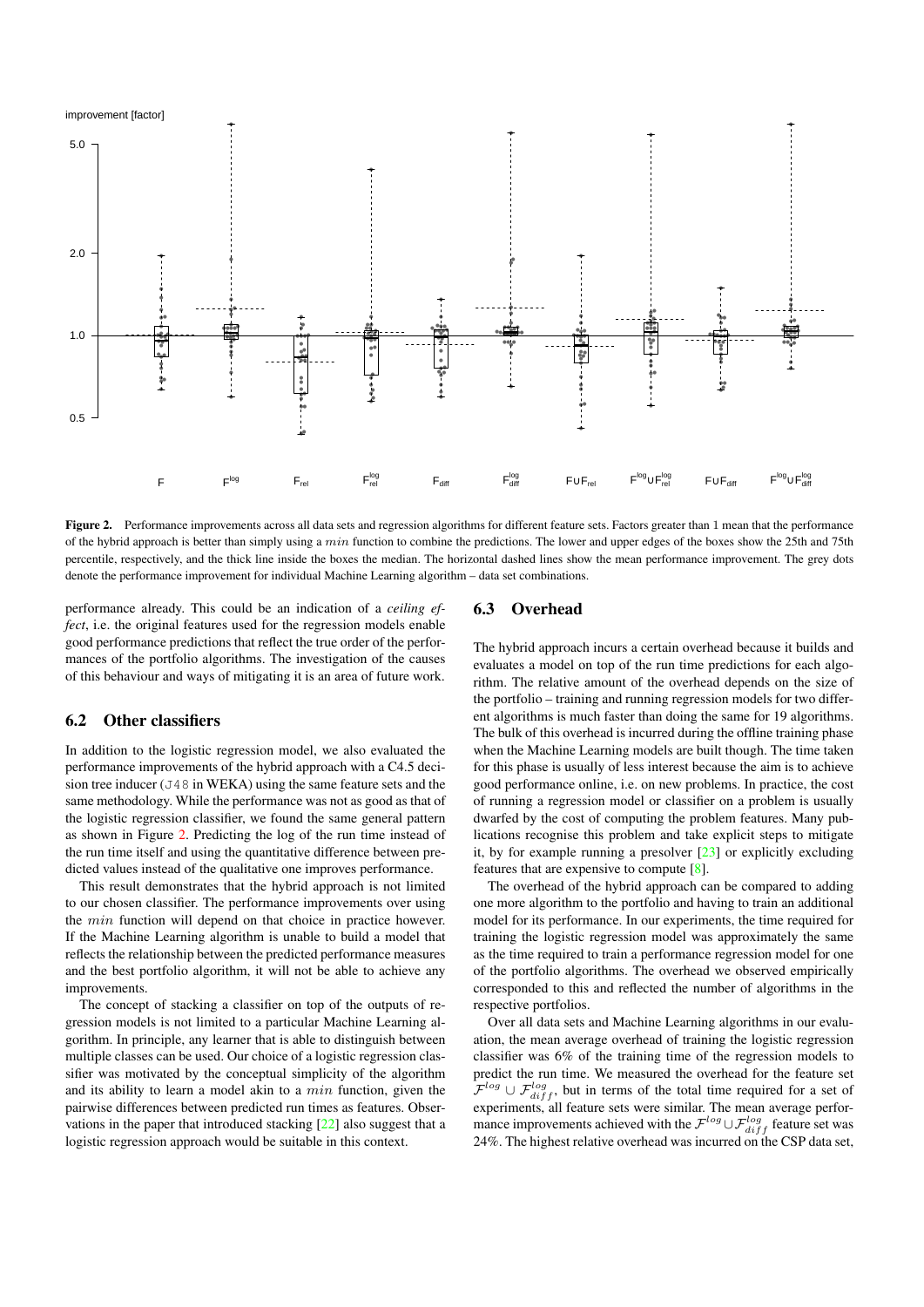

Figure 2. Performance improvements across all data sets and regression algorithms for different feature sets. Factors greater than 1 mean that the performance of the hybrid approach is better than simply using a *min* function to combine the predictions. The lower and upper edges of the boxes show the 25th and 75th percentile, respectively, and the thick line inside the boxes the median. The horizontal dashed lines show the mean performance improvement. The grey dots denote the performance improvement for individual Machine Learning algorithm – data set combinations.

<span id="page-4-0"></span>performance already. This could be an indication of a *ceiling effect*, i.e. the original features used for the regression models enable good performance predictions that reflect the true order of the performances of the portfolio algorithms. The investigation of the causes of this behaviour and ways of mitigating it is an area of future work.

#### 6.2 Other classifiers

In addition to the logistic regression model, we also evaluated the performance improvements of the hybrid approach with a C4.5 decision tree inducer (J48 in WEKA) using the same feature sets and the same methodology. While the performance was not as good as that of the logistic regression classifier, we found the same general pattern as shown in Figure 2. Predicting the log of the run time instead of the run time itself and using the quantitative difference between predicted values instead of the qualitative one improves performance.

This result demonstrates that the hybrid approach is not limited to our chosen classi[fie](#page-4-0)r. The performance improvements over using the *min* function will depend on that choice in practice however. If the Machine Learning algorithm is unable to build a model that reflects the relationship between the predicted performance measures and the best portfolio algorithm, it will not be able to achieve any improvements.

The concept of stacking a classifier on top of the outputs of regression models is not limited to a particular Machine Learning algorithm. In principle, any learner that is able to distinguish between multiple classes can be used. Our choice of a logistic regression classifier was motivated by the conceptual simplicity of the algorithm and its ability to learn a model akin to a *min* function, given the pairwise differences between predicted run times as features. Observations in the paper that introduced stacking [22] also suggest that a logistic regression approach would be suitable in this context.

#### 6.3 Overhead

The hybrid approach incurs a certain overhead because it builds and evaluates a model on top of the run time predictions for each algorithm. The relative amount of the overhead depends on the size of the portfolio – training and running regression models for two different algorithms is much faster than doing the same for 19 algorithms. The bulk of this overhead is incurred during the offline training phase when the Machine Learning models are built though. The time taken for this phase is usually of less interest because the aim is to achieve good performance online, i.e. on new problems. In practice, the cost of running a regression model or classifier on a problem is usually dwarfed by the cost of computing the problem features. Many publications recognise this problem and take explicit steps to mitigate it, by for example running a presolver [23] or explicitly excluding features that are expensive to compute [8].

The overhead of the hybrid approach can be compared to adding one more algorithm to the portfolio and having to train an additional model for its performance. In our experiments, the time required for training the logistic regression model [was](#page-5-2) approximately the same as the time required to train a performa[nc](#page-5-22)e regression model for one of the portfolio algorithms. The overhead we observed empirically corresponded to this and reflected the number of algorithms in the respective portfolios.

Over all data sets and Machine Learning algorithms in our evaluation, the mean average overhead of training the logistic regression classifier was 6% of the training time of the regression models to predict the run time. We measured the overhead for the feature set  $\mathcal{F}^{log} \cup \mathcal{F}^{log}_{diff}$ , but in terms of the total time required for a set of experiments, all feature sets were similar. The mean average performance improvements achieved with the  $\mathcal{F}^{log} \cup \mathcal{F}^{log}_{diff}$  feature set was 24%. The highest relative overhead was incurred on the CSP data set,